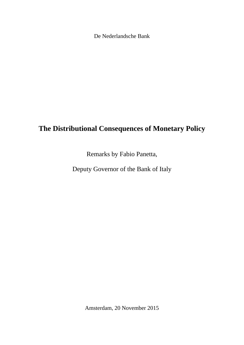De Nederlandsche Bank

# **The Distributional Consequences of Monetary Policy**

Remarks by Fabio Panetta,

Deputy Governor of the Bank of Italy

Amsterdam, 20 November 2015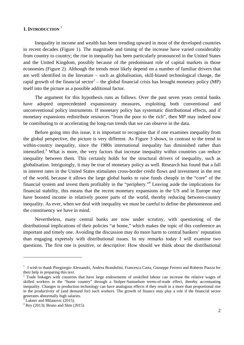## **1. INTRODUCTION** <sup>1</sup>

Inequality in income and wealth has been trending upward in most of the developed countries in recent decades (Figure 1). The magnitude and timing of the increase have varied considerably from country to country; the rise in inequality has been particularly pronounced in the United States and the United Kingdom, possibly because of the predominant role of capital markets in those economies (Figure 2). Although the trends most likely depend on a number of familiar drivers that are well identified in the literature – such as globalisation, skill-biased technological change, the rapid growth of the financial sector<sup>2</sup> – the global financial crisis has brought monetary policy (MP) itself into the picture as a possible additional factor.

The argument for this hypothesis runs as follows. Over the past seven years central banks have adopted unprecedented expansionary measures, exploiting both conventional and unconventional policy instruments. If monetary policy has systematic distributional effects, and if monetary expansions redistribute resources "from the poor to the rich", then MP may indeed now be contributing to or accelerating the long-run trends that we can observe in the data.

Before going into this issue, it is important to recognise that if one examines inequality from the global perspective, the picture is very different. As Figure 3 shows, in contrast to the trend in within-country inequality, since the 1980s international inequality has diminished rather than intensified.<sup>3</sup> What is more, the very factors that increase inequality within countries can reduce inequality between them. This certainly holds for the structural drivers of inequality, such as globalisation. Intriguingly, it may be true of monetary policy as well. Research has found that a fall in interest rates in the United States stimulates cross-border credit flows and investment in the rest of the world, because it allows the large global banks to raise funds cheaply in the "core" of the financial system and invest them profitably in the "periphery."<sup>4</sup> Leaving aside the implications for financial stability, this means that the recent monetary expansions in the US and in Europe may have boosted income in relatively poorer parts of the world, thereby reducing between-country inequality. As ever, when we deal with inequality we must be careful to define the phenomenon and the constituency we have in mind.

Nevertheless, many central banks are now under scrutiny, with questioning of the distributional implications of their policies "at home," which makes the topic of this conference an important and timely one. Avoiding the discussion may do more harm to central bankers' reputation than engaging expressly with distributional issues. In my remarks today I will examine two questions. The first one is positive, or descriptive: How should we think about the distributional

<sup>&</sup>lt;sup>1</sup> I wish to thank Piergiorgio Alessandri, Andrea Brandolini, Francesca Carta, Giuseppe Ferrero and Roberto Piazza for their help in preparing this text.

<sup>&</sup>lt;sup>2</sup> Trade linkages with countries that have large endowments of unskilled labour can increase the relative wages of skilled workers in the "home country" through a Stolper-Samuelson terms-of-trade effect, thereby accentuating inequality. Changes in production technology can have analogous effects if they result in a more than proportional rise in the productivity of (and demand for) such workers. The growth of finance may play a role if the financial sector generates abnormally high salaries.

<sup>3</sup> Lakner and Milanovic (2015).

 $4$  Rey (2013); Bruno and Shin (2015).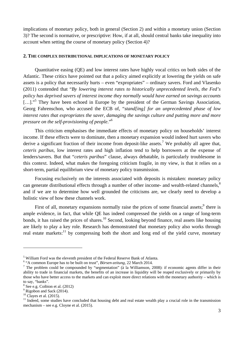implications of monetary policy, both in general (Section 2) and within a monetary union (Section 3)? The second is normative, or prescriptive: How, if at all, should central banks take inequality into account when setting the course of monetary policy (Section 4)?

### **2. THE COMPLEX DISTRIBUTIONAL IMPLICATIONS OF MONETARY POLICY**

Quantitative easing (QE) and low interest rates have highly vocal critics on both sides of the Atlantic. These critics have pointed out that a policy aimed explicitly at lowering the yields on safe assets is a policy that necessarily hurts – even "expropriates" – ordinary savers. Ford and Vlasenko (2011) contended that "*By lowering interest rates to historically unprecedented levels, the Fed's policy has deprived savers of interest income they normally would have earned on savings accounts* [...]."<sup>5</sup> They have been echoed in Europe by the president of the German Savings Association, Georg Fahrenschon, who accused the ECB of, "*stand[ing] for an unprecedented phase of low interest rates that expropriates the saver, damaging the savings culture and putting more and more pressure on the self-provisioning of people*."6

This criticism emphasises the immediate effects of monetary policy on households' interest income. If these effects were to dominate, then a monetary expansion would indeed hurt savers who derive a significant fraction of their income from deposit-like assets.<sup>7</sup> We probably all agree that, *ceteris paribus*, low interest rates and high inflation tend to help borrowers at the expense of lenders/savers. But that "*ceteris paribus*" clause, always debatable, is particularly troublesome in this context. Indeed, what makes the foregoing criticism fragile, in my view, is that it relies on a short-term, partial equilibrium view of monetary policy transmission.

Focusing exclusively on the interests associated with deposits is mistaken: monetary policy can generate distributional effects through a number of other income- and wealth-related channels,<sup>8</sup> and if we are to determine how well grounded the criticisms are, we clearly need to develop a holistic view of how these channels work.

First of all, monetary expansions normally raise the prices of some financial assets; $9$  there is ample evidence, in fact, that while QE has indeed compressed the yields on a range of long-term bonds, it has raised the prices of shares.<sup>10</sup> Second, looking beyond finance, real assets like housing are likely to play a key role. Research has demonstrated that monetary policy also works through real estate markets:<sup>11</sup> by compressing both the short and long end of the yield curve, monetary

<sup>&</sup>lt;sup>5</sup> William Ford was the eleventh president of the Federal Reserve Bank of Atlanta.

<sup>&</sup>lt;sup>6</sup> "A common Europe has to be built on trust", *Börsen-zeitung*, 22 March 2014.

<sup>&</sup>lt;sup>7</sup> The problem could be compounded by "segmentation" ( $\lambda$  la Williamson, 2008): if economic agents differ in their ability to trade in financial markets, the benefits of an increase in liquidity will be reaped exclusively or primarily by those who have better access to the markets and can exploit more direct relations with the monetary authority – which is to say, "banks".

<sup>8</sup> See e.g. Coibion et al. (2012)

<sup>&</sup>lt;sup>9</sup> Rigobon and Sack (2014).

 $10$  Clayes et al. (2015).

 $11$  Indeed, some studies have concluded that housing debt and real estate wealth play a crucial role in the transmission mechanism – see e.g. Cloyne et al. (2015).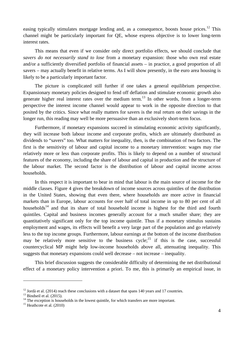easing typically stimulates mortgage lending and, as a consequence, boosts house prices.<sup>12</sup> This channel might be particularly important for QE, whose express objective is to lower long-term interest rates.

This means that even if we consider only direct portfolio effects, we should conclude that *savers do not necessarily stand to lose* from a monetary expansion: those who own real estate and/or a sufficiently diversified portfolio of financial assets – in practice, a good proportion of all savers – may actually benefit in relative terms. As I will show presently, in the euro area housing is likely to be a particularly important factor.

The picture is complicated still further if one takes a general equilibrium perspective. Expansionary monetary policies designed to fend off deflation and stimulate economic growth also generate higher real interest rates over the medium term.<sup>13</sup> In other words, from a longer-term perspective the interest income channel would appear to work in the opposite direction to that posited by the critics. Since what really matters for savers is the real return on their savings in the longer run, this reading may well be more persuasive than an exclusively short-term focus.

Furthermore, if monetary expansions succeed in stimulating economic activity significantly, they will increase both labour income and corporate profits, which are ultimately distributed as dividends to "savers" too. What matters for inequality, then, is the combination of two factors. The first is the sensitivity of labour and capital income to a monetary intervention: wages may rise relatively more or less than corporate profits. This is likely to depend on a number of structural features of the economy, including the share of labour and capital in production and the structure of the labour market. The second factor is the distribution of labour and capital income across households.

In this respect it is important to bear in mind that labour is the main source of income for the middle classes. Figure 4 gives the breakdown of income sources across quintiles of the distribution in the United States, showing that even there, where households are more active in financial markets than in Europe, labour accounts for over half of total income in up to 80 per cent of all households<sup>14</sup> and that its share of total household income is highest for the third and fourth quintiles. Capital and business incomes generally account for a much smaller share; they are quantitatively significant only for the top income quintile. Thus if a monetary stimulus sustains employment and wages, its effects will benefit a very large part of the population and go relatively less to the top income groups. Furthermore, labour earnings at the bottom of the income distribution may be relatively more sensitive to the business  $cycle$ ;  $\frac{15}{15}$  if this is the case, successful countercyclical MP might help low-income households above all, attenuating inequality. This suggests that monetary expansions could well decrease – not increase – inequality.

This brief discussion suggests the considerable difficulty of determining the net distributional effect of a monetary policy intervention a priori. To me, this is primarily an empirical issue, in

<sup>&</sup>lt;sup>12</sup> Jordà et al. (2014) reach these conclusions with a dataset that spans 140 years and 17 countries.<br><sup>13</sup> Bindseil et al. (2015).

<sup>&</sup>lt;sup>14</sup> The exception is households in the lowest quintile, for which transfers are more important. <sup>15</sup> Heathcote et al. (2010)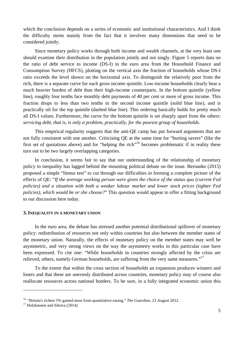which the conclusion depends on a series of economic and institutional characteristics. And I think the difficulty stems mainly from the fact that it involves many dimensions that need to be considered jointly.

Since monetary policy works through both income and wealth channels, at the very least one should examine their distribution in the population jointly and not singly. Figure 5 reports data on the ratio of debt service to income (DS-I) in the euro area from the Household Finance and Consumption Survey (HFCS), plotting on the vertical axis the fraction of households whose DS-I ratio exceeds the level shown on the horizontal axis. To distinguish the relatively poor from the rich, there is a separate curve for each gross income quintile. Low-income households clearly bear a much heavier burden of debt than their high-income counterparts. In the bottom quintile (yellow line), roughly four tenths face monthly debt payments of 40 per cent or more of gross income. This fraction drops to less than two tenths in the second income quintile (solid blue line), and is practically nil for the top quintile (dashed blue line). This ordering basically holds for pretty much all DS-I values. Furthermore, the curve for the bottom quintile is set sharply apart from the others: *servicing debt, that is, is only a problem, practically, for the poorest group of households.*

This empirical regularity suggests that the anti-QE camp has put forward arguments that are not fully consistent with one another. Criticising QE at the same time for "hurting savers" (like the first set of quotations above) and for "helping the rich"<sup>16</sup> becomes problematic if in reality these turn out to be two largely overlapping categories.

In conclusion, it seems fair to say that our understanding of the relationship of monetary policy to inequality has lagged behind the mounting political debate on the issue. Bernanke (2015) proposed a simple "litmus test" to cut through our difficulties in forming a complete picture of the effects of QE: "*If the average working person were given the choice of the status quo (current Fed policies) and a situation with both a weaker labour market and lower stock prices (tighter Fed policies), which would he or she choose?*" This question would appear to offer a fitting background to our discussion here today.

#### **3. INEQUALITY IN A MONETARY UNION**

In the euro area, the debate has stressed another potential distributional spillover of monetary policy: redistribution of resources not only within countries but also between the member states of the monetary union. Naturally, the effects of monetary policy on the member states may well be asymmetric, and very strong views on the way the asymmetry works in this particular case have been expressed. To cite one: "While households in countries strongly affected by the crisis are relieved, others, namely German households, are suffering from the very same measures."<sup>17</sup>

To the extent that within the cross section of households an expansion produces winners and losers and that these are unevenly distributed across countries, monetary policy may of course also reallocate resources across national borders. To be sure, in a fully integrated economic union this

<sup>&</sup>lt;sup>16</sup> "Britain's richest 5% gained most from quantitative easing," *The Guardian*, 23 August 2012.<br><sup>17</sup> Holzhausen and Sikova (2014).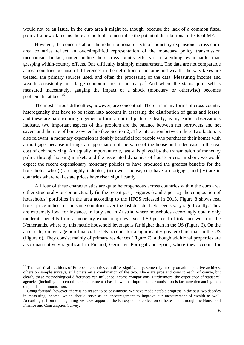would not be an issue. In the euro area it might be, though, because the lack of a common fiscal policy framework means there are no tools to neutralise the potential distributional effects of MP.

However, the concerns about the redistributional effects of monetary expansions across euroarea countries reflect an oversimplified representation of the monetary policy transmission mechanism. In fact, understanding these cross-country effects is, if anything, even harder than grasping within-country effects. One difficulty is simply measurement. The data are not comparable across countries because of differences in the definitions of income and wealth, the way taxes are treated, the primary sources used, and often the processing of the data. Measuring income and wealth consistently in a large economic area is not easy.<sup>18</sup> And where the status quo itself is measured inaccurately, gauging the impact of a shock (monetary or otherwise) becomes problematic at best.<sup>19</sup>

The most serious difficulties, however, are conceptual. There are many forms of cross-country heterogeneity that have to be taken into account in assessing the distribution of gains and losses, and these are hard to bring together to form a unified picture. Clearly, as my earlier observations indicate, two important aspects of this problem are the balance between net borrowers and net savers and the rate of home ownership (see Section 2). The interaction between these two factors is also relevant: a monetary expansion is doubly beneficial for people who purchased their homes with a mortgage, because it brings an appreciation of the value of the house and a decrease in the real cost of debt servicing. An equally important role, lastly, is played by the transmission of monetary policy through housing markets and the associated dynamics of house prices. In short, we would expect the recent expansionary monetary policies to have produced the greatest benefits for the households who (i) are highly indebted, (ii) own a house, (iii) have a mortgage, and (iv) are in countries where real estate prices have risen significantly.

All four of these characteristics are quite heterogeneous across countries within the euro area either structurally or conjuncturally (in the recent past). Figures 6 and 7 portray the composition of households' portfolios in the area according to the HFCS released in 2013. Figure 8 shows real house price indices in the same countries over the last decade. Debt levels vary significantly. They are extremely low, for instance, in Italy and in Austria, where households accordingly obtain only moderate benefits from a monetary expansion; they exceed 50 per cent of total net worth in the Netherlands, where by this metric household leverage is far higher than in the US (Figure 6). On the asset side, on average non-financial assets account for a significantly greater share than in the US (Figure 6). They consist mainly of primary residences (Figure 7), although additional properties are also quantitatively significant in Finland, Germany, Portugal and Spain, where they account for

 $18$  The statistical traditions of European countries can differ significantly: some rely mostly on administrative archives, others on sample surveys, still others on a combination of the two. There are pros and cons to each, of course, but clearly these methodological differences can influence income comparisons. Furthermore, the experience of statistical agencies (including our central bank departments) has shown that input data harmonisation is far more demanding than output data harmonisation.

 $19$  Going forward, however, there is no reason to be pessimistic. We have made notable progress in the past two decades in measuring income, which should serve as an encouragement to improve our measurement of wealth as well. Accordingly, from the beginning we have supported the Eurosystem's collection of better data through the Household Finance and Consumption Survey.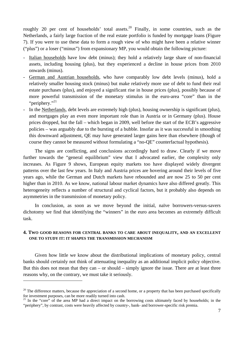roughly 20 per cent of households' total assets.<sup>20</sup> Finally, in some countries, such as the Netherlands, a fairly large fraction of the real estate portfolio is funded by mortgage loans (Figure 7). If you were to use these data to form a rough view of who might have been a relative winner ("plus") or a loser ("minus") from expansionary MP, you would obtain the following picture:

- Italian households have low debt (minus); they hold a relatively large share of non-financial assets, including housing (plus), but they experienced a decline in house prices from 2010 onwards (minus).
- German and Austrian households, who have comparably low debt levels (minus), hold a relatively smaller housing stock (minus) but make relatively more use of debt to fund their real estate purchases (plus), and enjoyed a significant rise in house prices (plus), possibly because of more powerful transmission of the monetary stimulus in the euro-area "core" than in the "periphery."<sup>21</sup>
- In the Netherlands, debt levels are extremely high (plus), housing ownership is significant (plus), and mortgages play an even more important role than in Austria or in Germany (plus). House prices dropped, but the fall – which began in 2009, well before the start of the ECB's aggressive policies – was arguably due to the bursting of a bubble. Insofar as it was successful in smoothing this downward adjustment, QE may have generated larger gains here than elsewhere (though of course they cannot be measured without formulating a "no-QE" counterfactual hypothesis).

The signs are conflicting, and conclusions accordingly hard to draw. Clearly if we move further towards the "general equilibrium" view that I advocated earlier, the complexity only increases. As Figure 9 shows, European equity markets too have displayed widely divergent patterns over the last few years. In Italy and Austria prices are hovering around their levels of five years ago, while the German and Dutch markets have rebounded and are now 25 to 50 per cent higher than in 2010. As we know, national labour market dynamics have also differed greatly. This heterogeneity reflects a number of structural and cyclical factors, but it probably also depends on asymmetries in the transmission of monetary policy.

In conclusion, as soon as we move beyond the initial, naïve borrowers-versus-savers dichotomy we find that identifying the "winners" in the euro area becomes an extremely difficult task.

## **4. TWO GOOD REASONS FOR CENTRAL BANKS TO CARE ABOUT INEQUALITY, AND AN EXCELLENT ONE TO STUDY IT: IT SHAPES THE TRANSMISSION MECHANISM**

Given how little we know about the distributional implications of monetary policy, central banks should certainly not think of attenuating inequality as an additional implicit policy objective. But this does not mean that they can – or should – simply ignore the issue. There are at least three reasons why, on the contrary, we must take it seriously.

 $20$  The difference matters, because the appreciation of a second home, or a property that has been purchased specifically for investment purposes, can be more readily turned into cash.

<sup>&</sup>lt;sup>21</sup> In the "core" of the area MP had a direct impact on the borrowing costs ultimately faced by households; in the "periphery", by contrast, costs were heavily affected by country-, bank- and borrower-specific risk premia.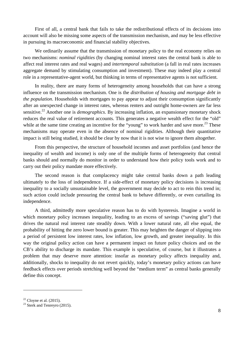First of all, a central bank that fails to take the redistributional effects of its decisions into account will also be missing some aspects of the transmission mechanism, and may be less effective in pursuing its macroeconomic and financial stability objectives.

We ordinarily assume that the transmission of monetary policy to the real economy relies on two mechanisms: *nominal rigidities* (by changing nominal interest rates the central bank is able to affect real interest rates and real wages) and *intertemporal substitution* (a fall in real rates increases aggregate demand by stimulating consumption and investment). These may indeed play a central role in a representative-agent world, but thinking in terms of representative agents is not sufficient.

In reality, there are many forms of heterogeneity among households that can have a strong influence on the transmission mechanism. One is the *distribution of housing and mortgage debt in the population*. Households with mortgages to pay appear to adjust their consumption significantly after an unexpected change in interest rates, whereas renters and outright home-owners are far less sensitive.22 Another one is *demographics*. By increasing inflation, an expansionary monetary shock reduces the real value of retirement accounts. This generates a negative wealth effect for the "old" while at the same time creating an incentive for the "young" to work harder and save more.<sup>23</sup> These mechanisms may operate even in the absence of nominal rigidities. Although their quantitative impact is still being studied, it should be clear by now that it is not wise to ignore them altogether.

From this perspective, the structure of household incomes and asset portfolios (and hence the inequality of wealth and income) is only one of the multiple forms of heterogeneity that central banks should and normally do monitor in order to understand how their policy tools work and to carry out their policy mandate more effectively.

The second reason is that complacency might take central banks down a path leading ultimately to the loss of independence. If a side-effect of monetary policy decisions is increasing inequality to a socially unsustainable level, the government may decide to act to rein this trend in; such action could include pressuring the central bank to behave differently, or even curtailing its independence.

A third, admittedly more speculative reason has to do with hysteresis. Imagine a world in which monetary policy increases inequality, leading to an excess of savings ("saving glut") that drives the natural real interest rate steadily down. With a lower natural rate, all else equal, the probability of hitting the zero lower bound is greater. This may heighten the danger of slipping into a period of persistent low interest rates, low inflation, low growth, and greater inequality. In this way the original policy action can have a permanent impact on future policy choices and on the CB's ability to discharge its mandate. This example is speculative, of course, but it illustrates a problem that may deserve more attention: insofar as monetary policy affects inequality and, additionally, shocks to inequality do not revert quickly, today's monetary policy actions can have feedback effects over periods stretching well beyond the "medium term" as central banks generally define this concept.

 $22$  Cloyne et al. (2015).

 $23$  Sterk and Tenreyro (2015).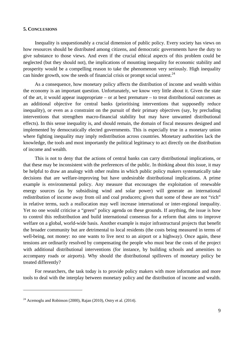## **5. CONCLUSIONS**

Inequality is unquestionably a crucial dimension of public policy. Every society has views on how resources should be distributed among citizens, and democratic governments have the duty to give substance to those views. And even if the crucial ethical aspects of this problem could be neglected (but they should not), the implications of mounting inequality for economic stability and prosperity would be a compelling reason to take the phenomenon very seriously. High inequality can hinder growth, sow the seeds of financial crisis or prompt social unrest. $^{24}$ 

As a consequence, how monetary policy affects the distribution of income and wealth within the economy is an important question. Unfortunately, we know very little about it. Given the state of the art, it would appear inappropriate – or at best premature – to treat distributional outcomes as an additional objective for central banks (prioritising interventions that supposedly reduce inequality), or even as a constraint on the pursuit of their primary objectives (say, by precluding interventions that strengthen macro-financial stability but may have unwanted distributional effects). In this sense inequality is, and should remain, the domain of fiscal measures designed and implemented by democratically elected governments. This is especially true in a monetary union where fighting inequality may imply redistribution across countries. Monetary authorities lack the knowledge, the tools and most importantly the political legitimacy to act directly on the distribution of income and wealth.

This is not to deny that the actions of central banks can carry distributional implications, or that these may be inconsistent with the preferences of the public. In thinking about this issue, it may be helpful to draw an analogy with other realms in which public policy makers systematically take decisions that are welfare-improving but have undesirable distributional implications. A prime example is environmental policy. Any measure that encourages the exploitation of renewable energy sources (as by subsidising wind and solar power) will generate an international redistribution of income away from oil and coal producers; given that some of these are not "rich" in relative terms, such a reallocation may well increase international or inter-regional inequality. Yet no one would criticise a "green" policy agenda on these grounds. If anything, the issue is how to control this redistribution and build international consensus for a reform that aims to improve welfare on a global, world-wide basis. Another example is major infrastructural projects that benefit the broader community but are detrimental to local residents (the costs being measured in terms of well-being, not money: no one wants to live next to an airport or a highway). Once again, these tensions are ordinarily resolved by compensating the people who must bear the costs of the project with additional distributional interventions (for instance, by building schools and amenities to accompany roads or airports). Why should the distributional spillovers of monetary policy be treated differently?

For researchers, the task today is to provide policy makers with more information and more tools to deal with the interplay between monetary policy and the distribution of income and wealth.

<sup>&</sup>lt;sup>24</sup> Acemoglu and Robinson (2000), Rajan (2010), Ostry et al. (2014).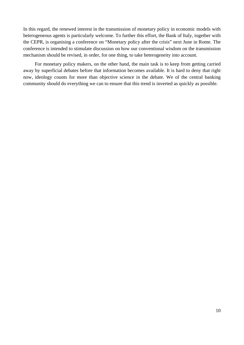In this regard, the renewed interest in the transmission of monetary policy in economic models with heterogeneous agents is particularly welcome. To further this effort, the Bank of Italy, together with the CEPR, is organising a conference on "Monetary policy after the crisis" next June in Rome. The conference is intended to stimulate discussion on how our conventional wisdom on the transmission mechanism should be revised, in order, for one thing, to take heterogeneity into account.

For monetary policy makers, on the other hand, the main task is to keep from getting carried away by superficial debates before that information becomes available. It is hard to deny that right now, ideology counts for more than objective science in the debate. We of the central banking community should do everything we can to ensure that this trend is inverted as quickly as possible.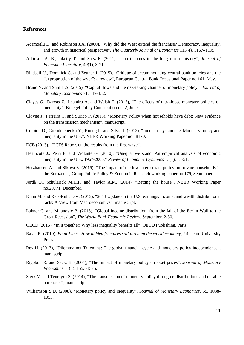## **References**

- Acemoglu D. and Robinson J.A. (2000), "Why did the West extend the franchise? Democracy, inequality, and growth in historical perspective", *The Quarterly Journal of Economics* 115(4), 1167–1199.
- Atkinson A. B., Piketty T. and Saez E. (2011). "Top incomes in the long run of history", *Journal of Economic Literature*, 49(1), 3-71.
- Bindseil U., Domnick C. and Zeuner J. (2015), "Critique of accommodating central bank policies and the "expropriation of the saver": a review", European Central Bank Occasional Paper no.161, May.
- Bruno V. and Shin H.S. (2015), "Capital flows and the risk-taking channel of monetary policy", *Journal of Monetary Economics* 71, 119-132.
- Clayes G., Darvas Z., Leandro A. and Walsh T. (2015), "The effects of ultra-loose monetary policies on inequality", Bruegel Policy Contribution no. 2, June.
- Cloyne J., Ferreira C. and Surico P. (2015), "Monetary Policy when households have debt: New evidence on the transmission mechanism", manuscript.
- Coibion O., Gorodnichenko Y., Kueng L. and Silvia J. (2012), "Innocent bystanders? Monetary policy and inequality in the U.S.", NBER Working Paper no.18170.
- ECB (2013). "HCFS Report on the results from the first wave".
- Heathcote J., Perri F. and Violante G. (2010), "Unequal we stand: An empirical analysis of economic inequality in the U.S., 1967-2006." *Review of Economic Dynamics* 13(1), 15-51.
- Holzhausen A. and Sikova S. (2015), "The impact of the low interest rate policy on private households in the Eurozone", Group Public Policy & Economic Research working paper no.176, September.
- Jordà O., Schularick M.H.P. and Taylor A.M. (2014), "Betting the house", NBER Working Paper no.20771, December.
- Kuhn M. and Rios-Rull, J.-V. (2013). "2013 Update on the U.S. earnings, income, and wealth distributional facts: A View from Macroeconomics", manuscript.
- Lakner C. and Milanovic B. (2015), "Global income distribution: from the fall of the Berlin Wall to the Great Recession", *The World Bank Economic Review*, September, 2-30.
- OECD (2015), "In it together: Why less inequality benefits all", OECD Publishing, Paris.
- Rajan R. (2010), *Fault Lines: How hidden fractures still threaten the world economy*, Princeton University Press.
- Rey H. (2013), "Dilemma not Trilemma: The global financial cycle and monetary policy independence", manuscript.
- Rigobon R. and Sack, B. (2004), "The impact of monetary policy on asset prices", *Journal of Monetary Economics* 51(8), 1553-1575.
- Sterk V. and Tenreyro S. (2014), "The transmission of monetary policy through redistributions and durable purchases", manuscript.
- Williamson S.D. (2008), "Monetary policy and inequality", *Journal of Monetary Economics,* 55, 1038- 1053.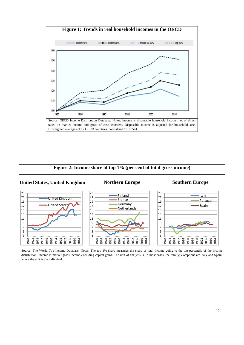

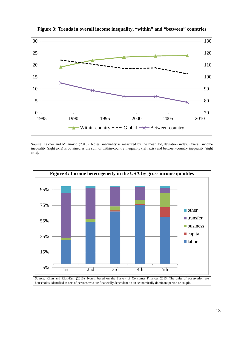

**Figure 3: Trends in overall income inequality, "within" and "between" countries** 

Source: Lakner and Milanovic (2015). Notes: inequality is measured by the mean log deviation index. Overall income inequality (right axis) is obtained as the sum of within-country inequality (left axis) and between-country inequality (right axis).

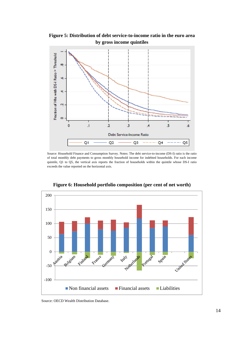**Figure 5: Distribution of debt service-to-income ratio in the euro area by gross income quintiles**



Source: Household Finance and Consumption Survey. Notes: The debt service-to-income (DS-I) ratio is the ratio of total monthly debt payments to gross monthly household income for indebted households. For each income quintile, Q1 to Q5, the vertical axis reports the fraction of households within the quintile whose DS-I ratio exceeds the value reported on the horizontal axis.



**Figure 6: Household portfolio composition (per cent of net worth)** 

Source: OECD Wealth Distribution Database.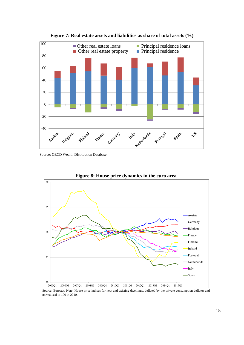



Source: OECD Wealth Distribution Database.

normalised to 100 in 2010.



**Figure 8: House price dynamics in the euro area**